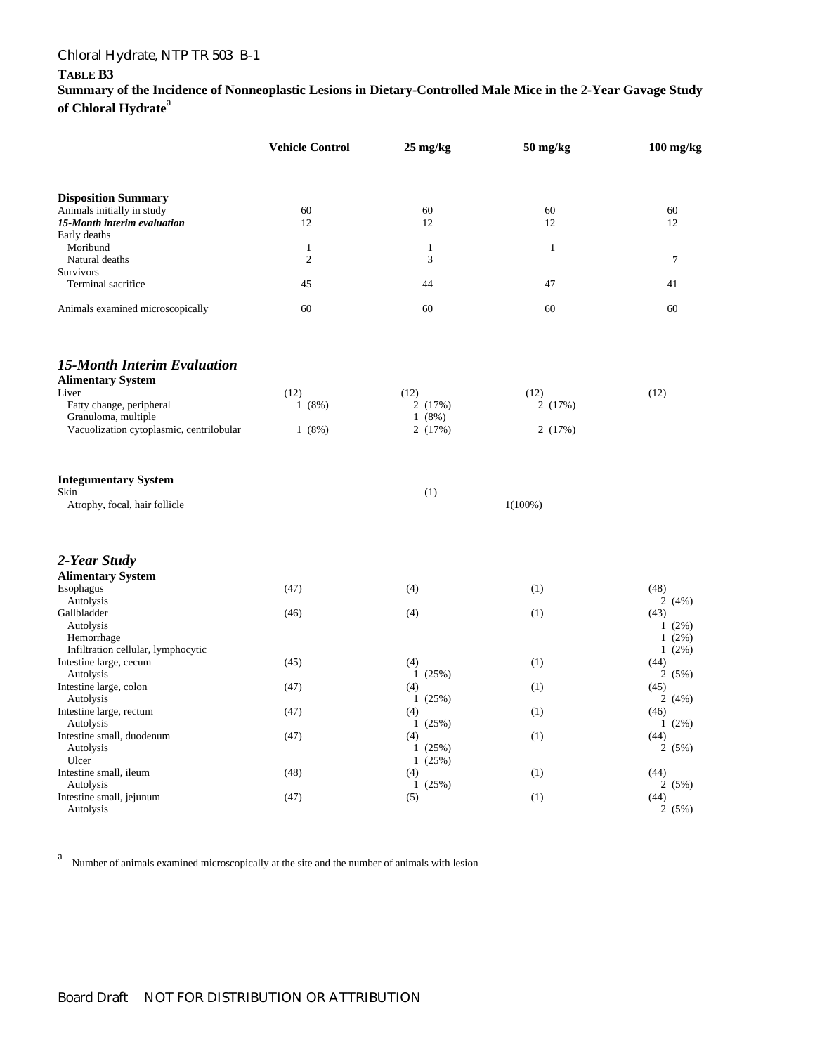# Chloral Hydrate, NTP TR 503 B-1

### **TABLE B3**

**Summary of the Incidence of Nonneoplastic Lesions in Dietary-Controlled Male Mice in the 2-Year Gavage Study**  of Chloral Hydrate<sup>a</sup>

|                                             | <b>Vehicle Control</b> | $25 \text{ mg/kg}$ | 50 mg/kg     | $100$ mg/kg      |  |
|---------------------------------------------|------------------------|--------------------|--------------|------------------|--|
| <b>Disposition Summary</b>                  |                        |                    |              |                  |  |
| Animals initially in study                  | 60                     | 60                 | 60           | 60               |  |
| 15-Month interim evaluation<br>Early deaths | 12                     | 12                 | 12           | 12               |  |
| Moribund                                    | $\mathbf{1}$           | $\mathbf{1}$       | $\mathbf{1}$ |                  |  |
| Natural deaths                              | $\mathfrak{2}$         | 3                  |              | $\tau$           |  |
| <b>Survivors</b>                            |                        |                    |              |                  |  |
| Terminal sacrifice                          | 45                     | 44                 | 47           | 41               |  |
| Animals examined microscopically            | 60                     | 60                 | 60           | 60               |  |
| <b>15-Month Interim Evaluation</b>          |                        |                    |              |                  |  |
| <b>Alimentary System</b>                    |                        |                    |              |                  |  |
| Liver                                       | (12)                   | (12)               | (12)         | (12)             |  |
| Fatty change, peripheral                    | 1(8%)                  | 2(17%)             | 2(17%)       |                  |  |
| Granuloma, multiple                         |                        | 1(8%)              |              |                  |  |
| Vacuolization cytoplasmic, centrilobular    | 1(8%)                  | 2(17%)             | 2(17%)       |                  |  |
| <b>Integumentary System</b>                 |                        |                    |              |                  |  |
| Skin                                        |                        | (1)                |              |                  |  |
| Atrophy, focal, hair follicle               |                        |                    | $1(100\%)$   |                  |  |
| 2-Year Study                                |                        |                    |              |                  |  |
| <b>Alimentary System</b>                    |                        |                    |              |                  |  |
| Esophagus<br>Autolysis                      | (47)                   | (4)                | (1)          | (48)<br>2(4%)    |  |
| Gallbladder                                 | (46)                   | (4)                | (1)          | (43)             |  |
| Autolysis                                   |                        |                    |              | $1(2\%)$         |  |
| Hemorrhage                                  |                        |                    |              | $1(2\%)$         |  |
| Infiltration cellular, lymphocytic          |                        |                    |              | $1(2\%)$         |  |
| Intestine large, cecum                      | (45)                   | (4)                | (1)          | (44)             |  |
| Autolysis                                   |                        | 1(25%)             |              | 2(5%)            |  |
| Intestine large, colon                      | (47)                   | (4)                | (1)          | (45)             |  |
| Autolysis                                   |                        | 1(25%)             |              | 2(4%)            |  |
| Intestine large, rectum<br>Autolysis        | (47)                   | (4)<br>1(25%)      | (1)          | (46)<br>$1(2\%)$ |  |
| Intestine small, duodenum                   | (47)                   | (4)                | (1)          | (44)             |  |
| Autolysis                                   |                        | 1(25%)             |              | 2(5%)            |  |
| Ulcer                                       |                        | 1(25%)             |              |                  |  |
| Intestine small, ileum                      | (48)                   | (4)                | (1)          | (44)             |  |
| Autolysis                                   |                        | 1(25%)             |              | 2(5%)            |  |
| Intestine small, jejunum                    | (47)                   | (5)                | (1)          | (44)             |  |
| Autolysis                                   |                        |                    |              | 2(5%)            |  |

a Number of animals examined microscopically at the site and the number of animals with lesion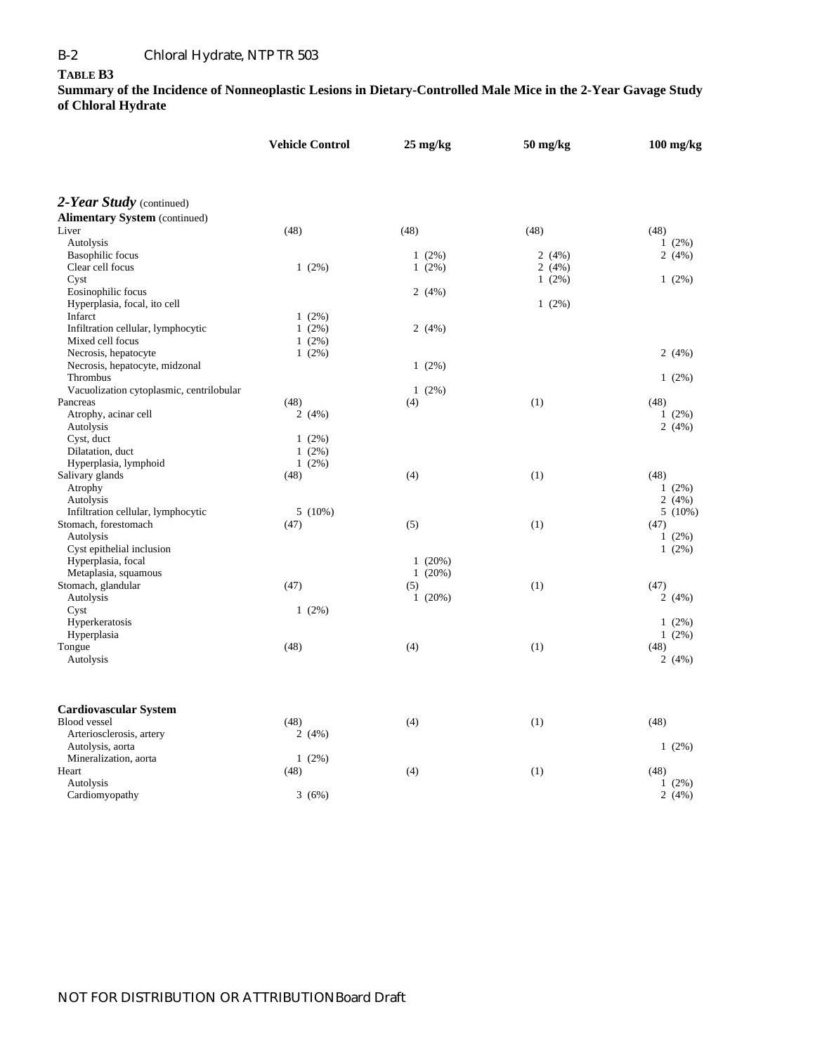#### **TABLE B3**

|                                          |      | <b>Vehicle Control</b> |      | $25 \text{ mg/kg}$ | $50$ mg/kg |      | $100$ mg/kg |
|------------------------------------------|------|------------------------|------|--------------------|------------|------|-------------|
|                                          |      |                        |      |                    |            |      |             |
| 2-Year Study (continued)                 |      |                        |      |                    |            |      |             |
| <b>Alimentary System (continued)</b>     |      |                        |      |                    |            |      |             |
| Liver                                    | (48) |                        | (48) |                    | (48)       | (48) |             |
| Autolysis                                |      |                        |      |                    |            |      | $1(2\%)$    |
| <b>Basophilic</b> focus                  |      |                        |      | $1(2\%)$           | 2(4%)      |      | 2(4%)       |
| Clear cell focus                         |      | $1(2\%)$               |      | $1(2\%)$           | 2(4%)      |      |             |
| Cyst                                     |      |                        |      |                    | $1(2\%)$   |      | $1(2\%)$    |
| Eosinophilic focus                       |      |                        |      | 2(4%)              |            |      |             |
| Hyperplasia, focal, ito cell             |      |                        |      |                    | 1(2%)      |      |             |
| Infarct                                  |      | $1(2\%)$               |      |                    |            |      |             |
| Infiltration cellular, lymphocytic       |      | $1(2\%)$               |      | 2(4%)              |            |      |             |
| Mixed cell focus                         |      | $1(2\%)$               |      |                    |            |      |             |
| Necrosis, hepatocyte                     |      | 1(2%)                  |      |                    |            |      | 2(4%)       |
| Necrosis, hepatocyte, midzonal           |      |                        |      | $1(2\%)$           |            |      |             |
| Thrombus                                 |      |                        |      |                    |            |      | $1(2\%)$    |
| Vacuolization cytoplasmic, centrilobular |      |                        |      | $1(2\%)$           |            |      |             |
| Pancreas                                 | (48) |                        | (4)  |                    | (1)        | (48) |             |
| Atrophy, acinar cell                     |      | 2(4%)                  |      |                    |            |      | $1(2\%)$    |
| Autolysis                                |      |                        |      |                    |            |      | 2(4%)       |
| Cyst, duct                               |      | $1(2\%)$               |      |                    |            |      |             |
| Dilatation, duct                         |      | $1(2\%)$               |      |                    |            |      |             |
| Hyperplasia, lymphoid                    |      | $1(2\%)$               |      |                    |            |      |             |
| Salivary glands                          | (48) |                        | (4)  |                    | (1)        | (48) |             |
| Atrophy                                  |      |                        |      |                    |            |      | $1(2\%)$    |
| Autolysis                                |      |                        |      |                    |            |      | 2(4%)       |
| Infiltration cellular, lymphocytic       |      | 5(10%)                 |      |                    |            |      | $5(10\%)$   |
| Stomach, forestomach                     | (47) |                        | (5)  |                    | (1)        | (47) |             |
| Autolysis                                |      |                        |      |                    |            |      | $1(2\%)$    |
| Cyst epithelial inclusion                |      |                        |      |                    |            |      | $1(2\%)$    |
| Hyperplasia, focal                       |      |                        |      | 1(20%)             |            |      |             |
| Metaplasia, squamous                     |      |                        |      | 1(20%)             |            |      |             |
| Stomach, glandular                       | (47) |                        | (5)  |                    | (1)        | (47) | 2(4%)       |
| Autolysis                                |      |                        |      | 1(20%)             |            |      |             |
| Cyst                                     |      | 1(2%)                  |      |                    |            |      |             |
| Hyperkeratosis                           |      |                        |      |                    |            |      | $1(2\%)$    |
| Hyperplasia<br>Tongue                    | (48) |                        | (4)  |                    | (1)        | (48) | $1(2\%)$    |
|                                          |      |                        |      |                    |            |      | 2(4%)       |
| Autolysis                                |      |                        |      |                    |            |      |             |
| <b>Cardiovascular System</b>             |      |                        |      |                    |            |      |             |
| <b>Blood</b> vessel                      | (48) |                        | (4)  |                    | (1)        | (48) |             |
| Arteriosclerosis, artery                 |      | 2(4%)                  |      |                    |            |      |             |
| Autolysis, aorta                         |      |                        |      |                    |            |      | $1(2\%)$    |
| Mineralization, aorta                    |      | 1(2%)                  |      |                    |            |      |             |
| Heart                                    | (48) |                        | (4)  |                    | (1)        | (48) |             |
| Autolysis                                |      |                        |      |                    |            |      | $1(2\%)$    |
| Cardiomyopathy                           |      | 3(6%)                  |      |                    |            |      | 2(4%)       |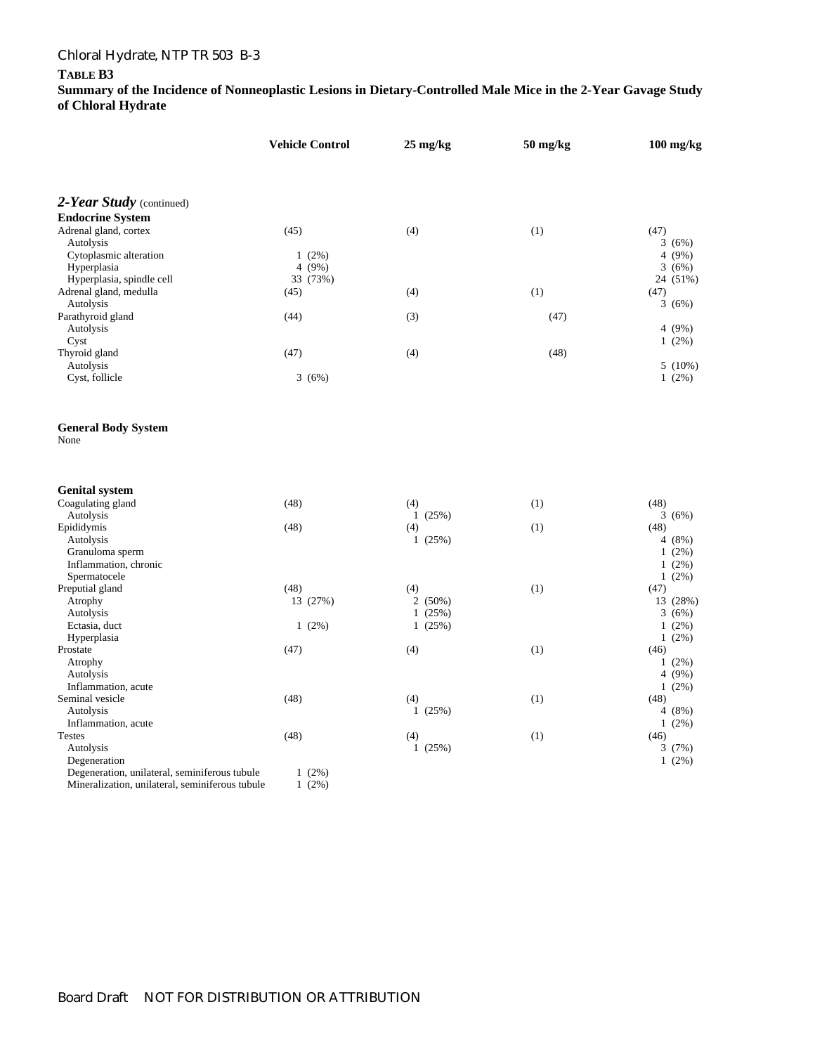# Chloral Hydrate, NTP TR 503 B-3

#### **TABLE B3**

|                                                 | <b>Vehicle Control</b> | $25 \text{ mg/kg}$ | $50$ mg/kg | $100$ mg/kg      |
|-------------------------------------------------|------------------------|--------------------|------------|------------------|
| 2-Year Study (continued)                        |                        |                    |            |                  |
| <b>Endocrine System</b>                         |                        |                    |            |                  |
| Adrenal gland, cortex                           | (45)                   | (4)                | (1)        | (47)             |
| Autolysis                                       |                        |                    |            | 3(6%)            |
| Cytoplasmic alteration                          | $1(2\%)$               |                    |            | 4(9%)            |
| Hyperplasia                                     | 4 $(9\%)$              |                    |            | 3(6%)            |
| Hyperplasia, spindle cell                       | 33 (73%)               |                    |            | 24 (51%)         |
| Adrenal gland, medulla                          | (45)                   | (4)                | (1)        | (47)             |
| Autolysis                                       |                        |                    |            | 3(6%)            |
| Parathyroid gland                               | (44)                   | (3)                | (47)       |                  |
| Autolysis                                       |                        |                    |            | 4 (9%)           |
| Cyst                                            |                        |                    |            | $1(2\%)$         |
| Thyroid gland                                   | (47)                   | (4)                | (48)       |                  |
| Autolysis                                       |                        |                    |            | $5(10\%)$        |
| Cyst, follicle                                  | 3(6%)                  |                    |            | 1(2%)            |
| <b>General Body System</b><br>None              |                        |                    |            |                  |
| <b>Genital system</b>                           |                        |                    |            |                  |
| Coagulating gland                               | (48)                   | (4)                | (1)        | (48)             |
| Autolysis                                       |                        | 1(25%)             |            | 3(6%)            |
| Epididymis                                      | (48)                   | (4)                | (1)        | (48)             |
| Autolysis                                       |                        | 1(25%)             |            | 4 (8%)           |
| Granuloma sperm                                 |                        |                    |            | $1(2\%)$         |
| Inflammation, chronic                           |                        |                    |            | $1(2\%)$         |
| Spermatocele                                    |                        |                    |            | $1(2\%)$         |
| Preputial gland                                 | (48)                   | (4)                | (1)        | (47)             |
| Atrophy                                         | 13 (27%)               | 2(50%)             |            | 13 (28%)         |
| Autolysis                                       |                        | 1(25%)             |            | 3(6%)            |
| Ectasia, duct                                   | $1(2\%)$               | 1(25%)             |            | $1(2\%)$         |
| Hyperplasia                                     | (47)                   |                    |            | $1(2\%)$         |
| Prostate<br>Atrophy                             |                        | (4)                | (1)        | (46)<br>$1(2\%)$ |
| Autolysis                                       |                        |                    |            | 4 $(9\%)$        |
| Inflammation, acute                             |                        |                    |            | $1(2\%)$         |
| Seminal vesicle                                 | (48)                   | (4)                | (1)        | (48)             |
| Autolysis                                       |                        | 1(25%)             |            | 4(8%)            |
| Inflammation, acute                             |                        |                    |            | $1(2\%)$         |
| <b>Testes</b>                                   | (48)                   | (4)                | (1)        | (46)             |
| Autolysis                                       |                        | 1(25%)             |            | 3(7%)            |
| Degeneration                                    |                        |                    |            | $1(2\%)$         |
| Degeneration, unilateral, seminiferous tubule   | $1(2\%)$               |                    |            |                  |
| Mineralization, unilateral, seminiferous tubule | $1(2\%)$               |                    |            |                  |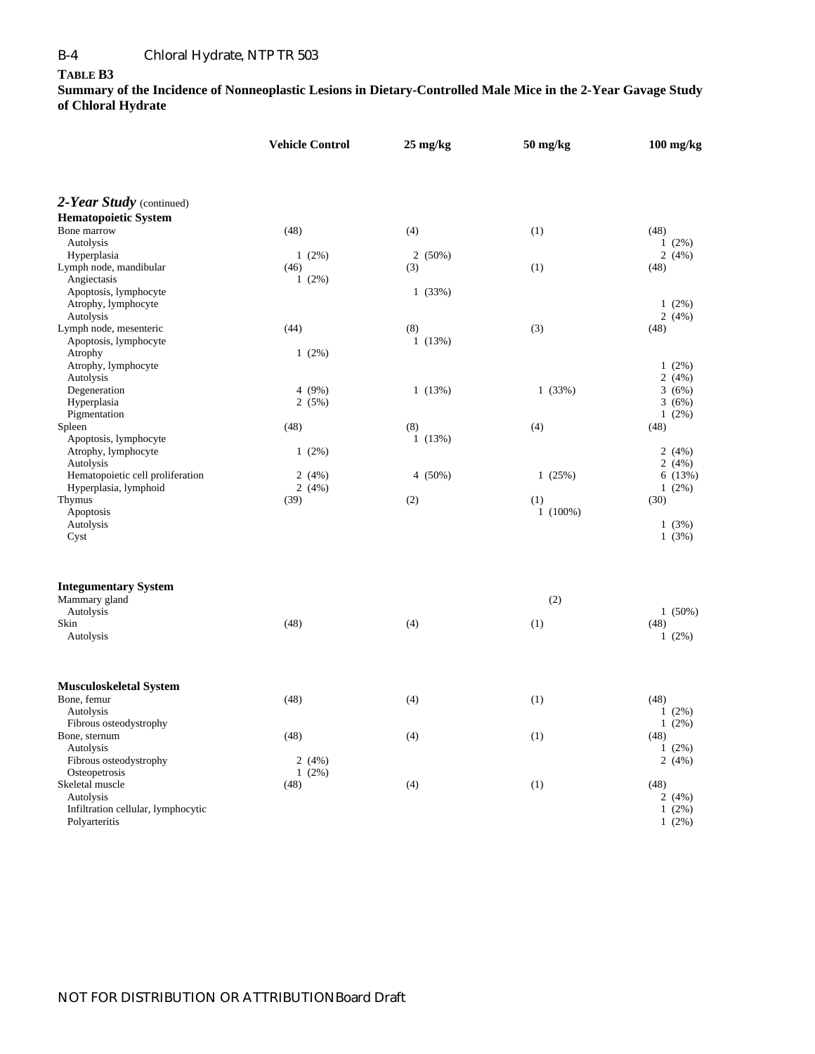#### **TABLE B3**

|                                                 | <b>Vehicle Control</b> | $25 \text{ mg/kg}$ | $50$ mg/kg | $100$ mg/kg   |  |
|-------------------------------------------------|------------------------|--------------------|------------|---------------|--|
|                                                 |                        |                    |            |               |  |
| 2-Year Study (continued)                        |                        |                    |            |               |  |
| <b>Hematopoietic System</b>                     |                        |                    |            |               |  |
| Bone marrow                                     | (48)                   | (4)                | (1)        | (48)          |  |
| Autolysis                                       |                        |                    |            | $1(2\%)$      |  |
| Hyperplasia                                     | $1(2\%)$               | 2(50%)             |            | 2(4%)         |  |
| Lymph node, mandibular                          | (46)                   | (3)                | (1)        | (48)          |  |
| Angiectasis                                     | $1(2\%)$               |                    |            |               |  |
| Apoptosis, lymphocyte                           |                        | 1(33%)             |            |               |  |
| Atrophy, lymphocyte                             |                        |                    |            | $1(2\%)$      |  |
| Autolysis                                       |                        |                    |            | 2(4%)         |  |
| Lymph node, mesenteric<br>Apoptosis, lymphocyte | (44)                   | (8)<br>1(13%)      | (3)        | (48)          |  |
| Atrophy                                         | 1(2%)                  |                    |            |               |  |
| Atrophy, lymphocyte                             |                        |                    |            | $1(2\%)$      |  |
| Autolysis                                       |                        |                    |            | 2(4%)         |  |
| Degeneration                                    | 4(9%)                  | 1(13%)             | 1(33%)     | 3(6%)         |  |
| Hyperplasia                                     | 2(5%)                  |                    |            | 3(6%)         |  |
| Pigmentation                                    |                        |                    |            | $1(2\%)$      |  |
| Spleen                                          | (48)                   | (8)                | (4)        | (48)          |  |
| Apoptosis, lymphocyte<br>Atrophy, lymphocyte    | $1(2\%)$               | 1(13%)             |            | 2(4%)         |  |
| Autolysis                                       |                        |                    |            | 2(4%)         |  |
| Hematopoietic cell proliferation                | 2(4%)                  | 4(50%)             | 1(25%)     | 6(13%)        |  |
| Hyperplasia, lymphoid                           | 2(4%)                  |                    |            | $1(2\%)$      |  |
| Thymus                                          | (39)                   | (2)                | (1)        | (30)          |  |
| Apoptosis                                       |                        |                    | $1(100\%)$ |               |  |
| Autolysis                                       |                        |                    |            | 1(3%)         |  |
| Cyst                                            |                        |                    |            | 1(3%)         |  |
| <b>Integumentary System</b>                     |                        |                    |            |               |  |
| Mammary gland                                   |                        |                    | (2)        |               |  |
| Autolysis                                       |                        |                    |            | $1(50\%)$     |  |
| Skin                                            | (48)                   | (4)                | (1)        | (48)          |  |
| Autolysis                                       |                        |                    |            | $1(2\%)$      |  |
| Musculoskeletal System                          |                        |                    |            |               |  |
| Bone, femur                                     | (48)                   | (4)                | (1)        | (48)          |  |
| Autolysis                                       |                        |                    |            | $1(2\%)$      |  |
| Fibrous osteodystrophy                          |                        |                    |            | $1(2\%)$      |  |
| Bone, sternum                                   | (48)                   | (4)                | (1)        | (48)          |  |
| Autolysis                                       |                        |                    |            | $1(2\%)$      |  |
| Fibrous osteodystrophy                          | 2(4%)                  |                    |            | 2(4%)         |  |
| Osteopetrosis                                   | 1(2%)                  |                    |            |               |  |
| Skeletal muscle<br>Autolysis                    | (48)                   | (4)                | (1)        | (48)<br>2(4%) |  |
| Infiltration cellular, lymphocytic              |                        |                    |            | $1(2\%)$      |  |
| Polyarteritis                                   |                        |                    |            | 1(2%)         |  |
|                                                 |                        |                    |            |               |  |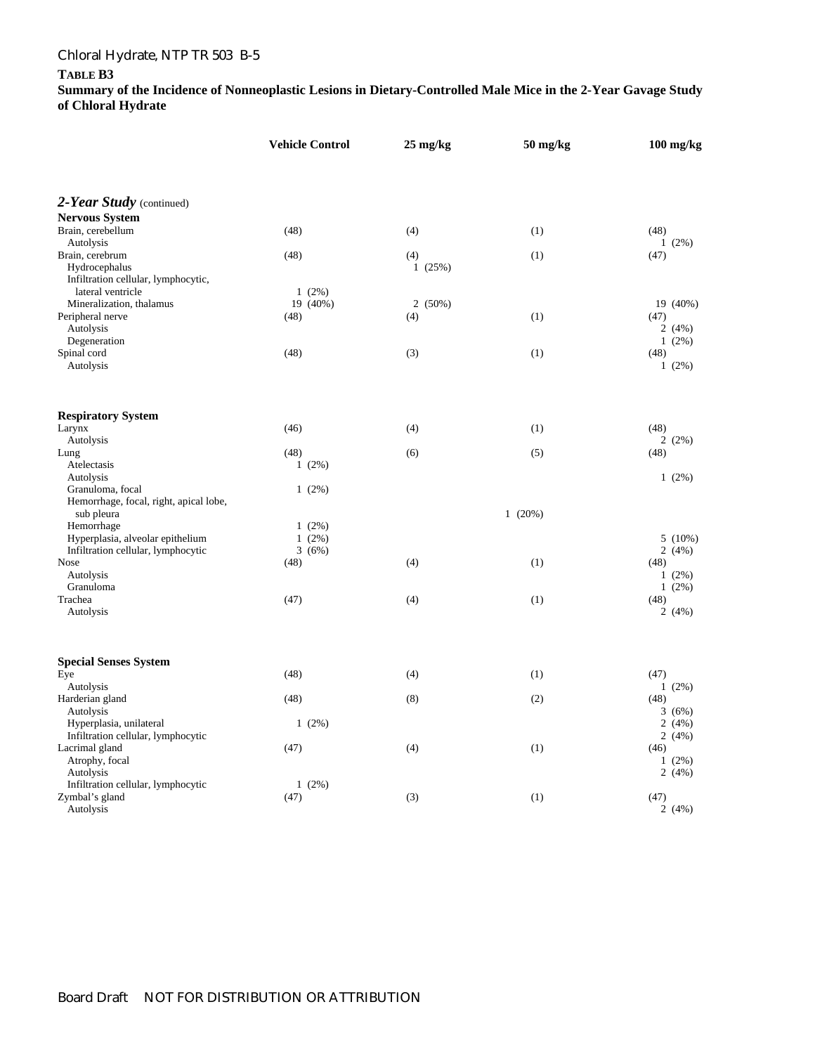### Chloral Hydrate, NTP TR 503 B-5

#### **TABLE B3**

|                                                                         | <b>Vehicle Control</b> | $25 \text{ mg/kg}$ | $50$ mg/kg | $100$ mg/kg                  |  |
|-------------------------------------------------------------------------|------------------------|--------------------|------------|------------------------------|--|
| 2-Year Study (continued)                                                |                        |                    |            |                              |  |
| <b>Nervous System</b>                                                   |                        |                    |            |                              |  |
| Brain, cerebellum<br>Autolysis                                          | (48)                   | (4)                | (1)        | (48)<br>$1(2\%)$             |  |
| Brain, cerebrum<br>Hydrocephalus<br>Infiltration cellular, lymphocytic, | (48)                   | (4)<br>1(25%)      | (1)        | (47)                         |  |
| lateral ventricle                                                       | $1(2\%)$               |                    |            |                              |  |
| Mineralization, thalamus<br>Peripheral nerve<br>Autolysis               | 19 (40%)<br>(48)       | 2(50%)<br>(4)      | (1)        | 19 (40%)<br>(47)<br>2(4%)    |  |
| Degeneration<br>Spinal cord<br>Autolysis                                | (48)                   | (3)                | (1)        | $1(2\%)$<br>(48)<br>$1(2\%)$ |  |
| <b>Respiratory System</b>                                               |                        |                    |            |                              |  |
| Larynx<br>Autolysis                                                     | (46)                   | (4)                | (1)        | (48)<br>2(2%)                |  |
| Lung                                                                    | (48)                   | (6)                | (5)        | (48)                         |  |
| Atelectasis                                                             | $1(2\%)$               |                    |            |                              |  |
| Autolysis<br>Granuloma, focal<br>Hemorrhage, focal, right, apical lobe, | $1(2\%)$               |                    |            | $1(2\%)$                     |  |
| sub pleura                                                              |                        |                    | 1(20%)     |                              |  |
| Hemorrhage                                                              | $1(2\%)$               |                    |            |                              |  |
| Hyperplasia, alveolar epithelium                                        | $1(2\%)$               |                    |            | $5(10\%)$                    |  |
| Infiltration cellular, lymphocytic                                      | 3(6%)                  |                    |            | 2(4%)                        |  |
| <b>Nose</b>                                                             | (48)                   | (4)                | (1)        | (48)                         |  |
| Autolysis                                                               |                        |                    |            | $1(2\%)$                     |  |
| Granuloma                                                               |                        |                    |            | $1(2\%)$                     |  |
| Trachea<br>Autolysis                                                    | (47)                   | (4)                | (1)        | (48)<br>2(4%)                |  |
| <b>Special Senses System</b>                                            |                        |                    |            |                              |  |
| Eye                                                                     | (48)                   | (4)                | (1)        | (47)                         |  |
| Autolysis                                                               |                        |                    |            | $1(2\%)$                     |  |
| Harderian gland<br>Autolysis                                            | (48)                   | (8)                | (2)        | (48)<br>3(6%)                |  |
| Hyperplasia, unilateral                                                 | $1(2\%)$               |                    |            | 2(4%)                        |  |
| Infiltration cellular, lymphocytic<br>Lacrimal gland                    | (47)                   | (4)                | (1)        | 2(4%)<br>(46)                |  |
| Atrophy, focal<br>Autolysis                                             |                        |                    |            | $1(2\%)$<br>2(4%)            |  |
| Infiltration cellular, lymphocytic                                      | $1(2\%)$               |                    |            |                              |  |
| Zymbal's gland<br>Autolysis                                             | (47)                   | (3)                | (1)        | (47)<br>2(4%)                |  |